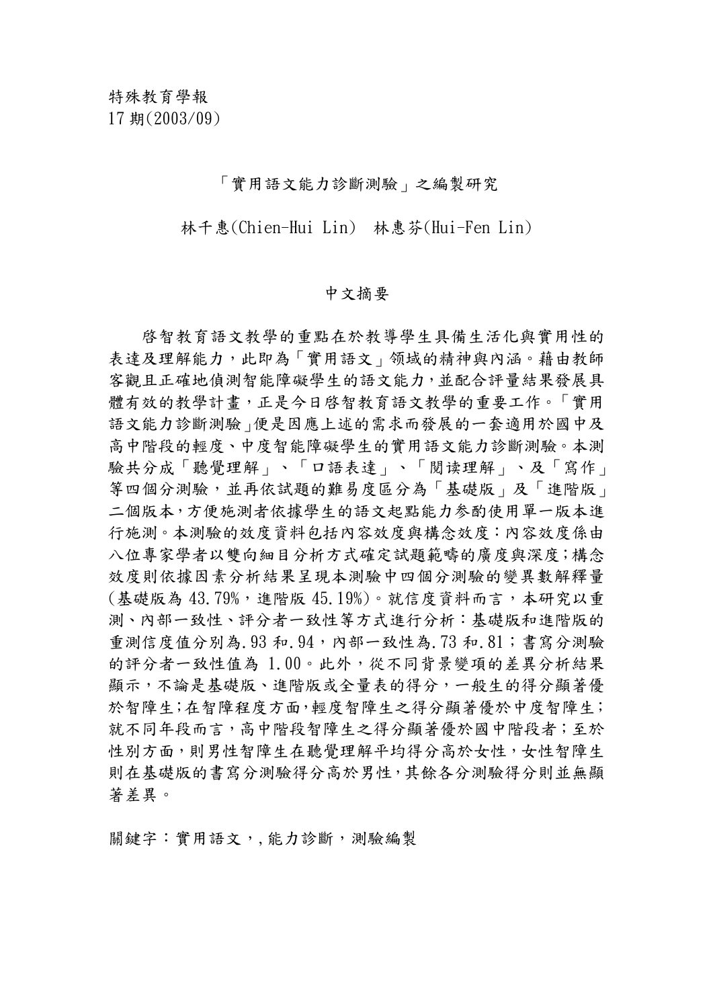「實用語文能力診斷測驗」之編製研究

林千惠(Chien-Hui Lin) 林惠芬(Hui-Fen Lin)

## 中文摘要

啓智教育語文教學的重點在於教導學生具備生活化與實用性的 表達及理解能力,此即為「實用語文」领域的精神與內涵。藉由教師 客觀且正確地偵測智能障礙學生的語文能力,並配合評量結果發展具 體有效的教學計畫,正是今日啓智教育語文教學的重要工作。「實用 語文能力診斷測驗」便是因應上述的需求而發展的一套適用於國中及 高中階段的輕度、中度智能障礙學生的實用語文能力診斷測驗。本測 驗共分成「聽覺理解」、「口語表達」、「閱读理解」、及「寫作」 等四個分測驗,並再依試題的難易度區分為「基礎版」及「進階版」 二個版本,方便施測者依據學生的語文起點能力参酌使用單一版本進 行施測。本測驗的效度資料包括內容效度與構念效度:內容效度係由 八位專家學者以雙向細目分析方式確定試題範疇的廣度與深度;構念 效度則依據因素分析結果呈現本測驗中四個分測驗的變異數解釋量 (基礎版為 43.79%,進階版 45.19%)。就信度資料而言,本研究以重 測、內部一致性、評分者一致性等方式進行分析:基礎版和進階版的 重測信度值分別為.93 和.94,內部一致性為.73 和.81;書寫分測驗 的評分者一致性值為 1.00。此外,從不同背景變項的差異分析結果 顯示,不論是基礎版、進階版或全量表的得分,一般生的得分顯著優 於智障生;在智障程度方面,輕度智障生之得分顯著優於中度智障生; 就不同年段而言,高中階段智障生之得分顯著優於國中階段者;至於 性別方面,則男性智障生在聽覺理解平均得分高於女性,女性智障生 則在基礎版的書寫分測驗得分高於男性,其餘各分測驗得分則並無顯 著差異。

關鍵字:實用語文,,能力診斷,測驗編製